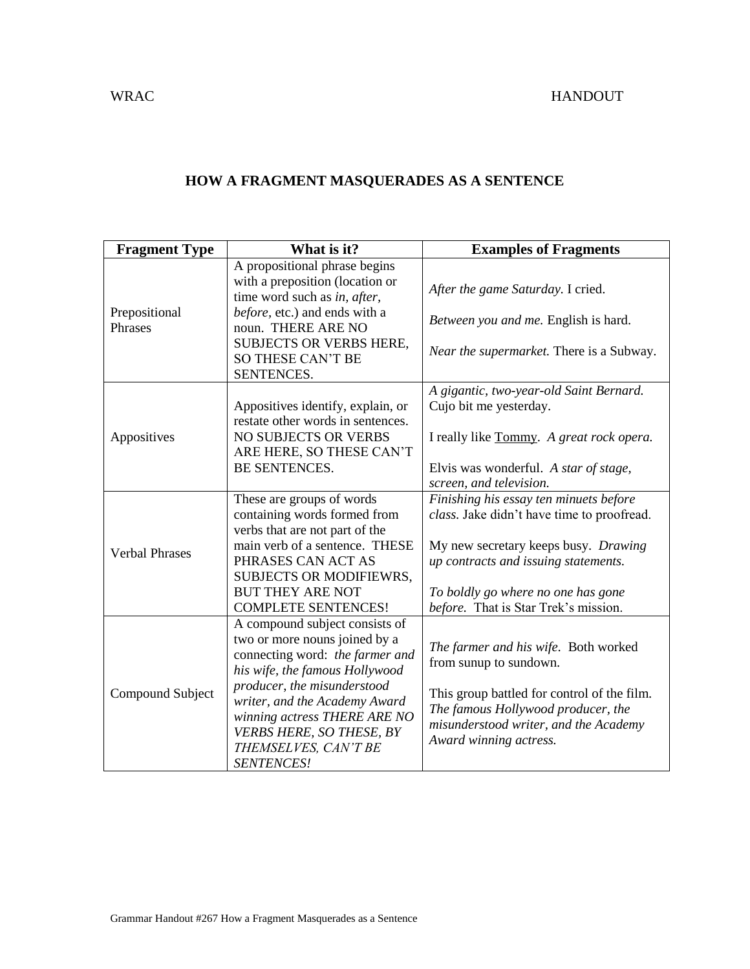## **HOW A FRAGMENT MASQUERADES AS A SENTENCE**

| <b>Fragment Type</b>     | What is it?                                                                                                                                                                                                                                                                                                          | <b>Examples of Fragments</b>                                                                                                                                                                                                                       |
|--------------------------|----------------------------------------------------------------------------------------------------------------------------------------------------------------------------------------------------------------------------------------------------------------------------------------------------------------------|----------------------------------------------------------------------------------------------------------------------------------------------------------------------------------------------------------------------------------------------------|
| Prepositional<br>Phrases | A propositional phrase begins<br>with a preposition (location or<br>time word such as in, after,<br>before, etc.) and ends with a<br>noun. THERE ARE NO<br><b>SUBJECTS OR VERBS HERE,</b><br><b>SO THESE CAN'T BE</b><br>SENTENCES.                                                                                  | After the game Saturday. I cried.<br>Between you and me. English is hard.<br><i>Near the supermarket.</i> There is a Subway.                                                                                                                       |
| Appositives              | Appositives identify, explain, or<br>restate other words in sentences.<br><b>NO SUBJECTS OR VERBS</b><br>ARE HERE, SO THESE CAN'T<br><b>BE SENTENCES.</b>                                                                                                                                                            | A gigantic, two-year-old Saint Bernard.<br>Cujo bit me yesterday.<br>I really like Tommy. A great rock opera.<br>Elvis was wonderful. A star of stage,<br>screen, and television.                                                                  |
| <b>Verbal Phrases</b>    | These are groups of words<br>containing words formed from<br>verbs that are not part of the<br>main verb of a sentence. THESE<br>PHRASES CAN ACT AS<br><b>SUBJECTS OR MODIFIEWRS,</b><br><b>BUT THEY ARE NOT</b><br><b>COMPLETE SENTENCES!</b>                                                                       | Finishing his essay ten minuets before<br>class. Jake didn't have time to proofread.<br>My new secretary keeps busy. Drawing<br>up contracts and issuing statements.<br>To boldly go where no one has gone<br>before. That is Star Trek's mission. |
| Compound Subject         | A compound subject consists of<br>two or more nouns joined by a<br>connecting word: the farmer and<br>his wife, the famous Hollywood<br>producer, the misunderstood<br>writer, and the Academy Award<br>winning actress THERE ARE NO<br><b>VERBS HERE, SO THESE, BY</b><br>THEMSELVES, CAN'T BE<br><b>SENTENCES!</b> | The farmer and his wife. Both worked<br>from sunup to sundown.<br>This group battled for control of the film.<br>The famous Hollywood producer, the<br>misunderstood writer, and the Academy<br>Award winning actress.                             |